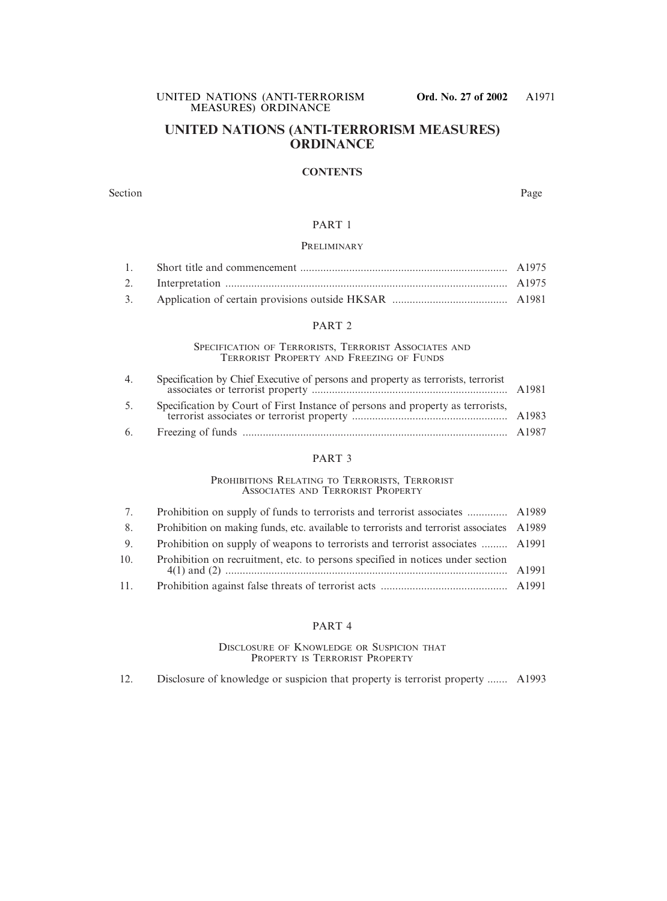## **UNITED NATIONS (ANTI-TERRORISM MEASURES) ORDINANCE**

#### **CONTENTS**

#### Section Page

#### PART 1

#### **PRELIMINARY**

#### PART 2

SPECIFICATION OF TERRORISTS, TERRORIST ASSOCIATES AND TERRORIST PROPERTY AND FREEZING OF FUNDS

| $4_{\cdot}$ | Specification by Chief Executive of persons and property as terrorists, terrorist |  |
|-------------|-----------------------------------------------------------------------------------|--|
| 5.          | Specification by Court of First Instance of persons and property as terrorists,   |  |
| 6.          |                                                                                   |  |

#### PART 3

#### PROHIBITIONS RELATING TO TERRORISTS, TERRORIST ASSOCIATES AND TERRORIST PROPERTY

| 7.  |                                                                                          |       |
|-----|------------------------------------------------------------------------------------------|-------|
| 8.  | Prohibition on making funds, etc. available to terrorists and terrorist associates A1989 |       |
| 9.  | Prohibition on supply of weapons to terrorists and terrorist associates  A1991           |       |
| 10. | Prohibition on recruitment, etc. to persons specified in notices under section           | A1991 |
| 11. |                                                                                          |       |

#### PART 4

#### DISCLOSURE OF KNOWLEDGE OR SUSPICION THAT PROPERTY IS TERRORIST PROPERTY

12. Disclosure of knowledge or suspicion that property is terrorist property ....... A1993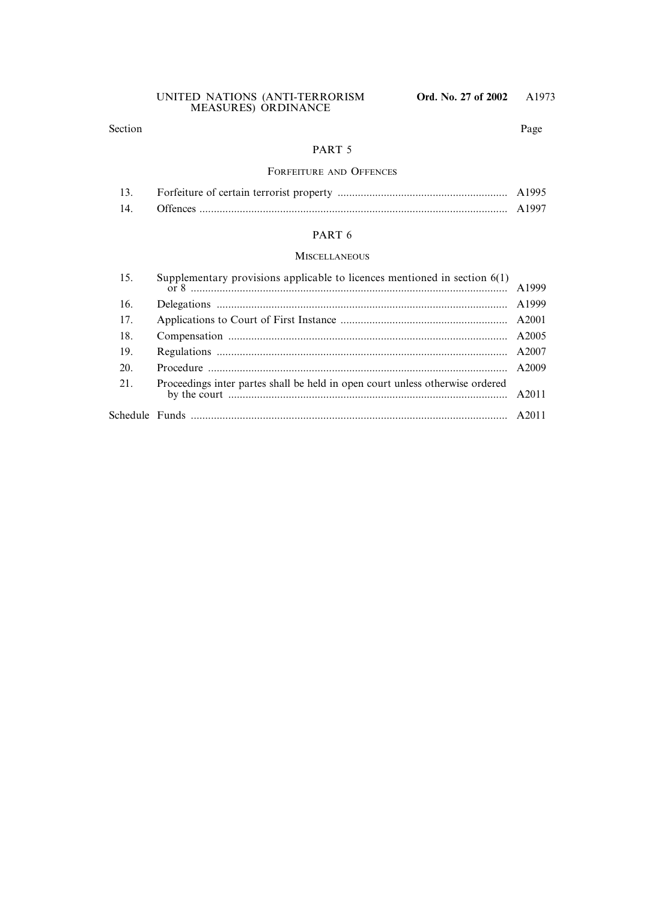#### Section Page

#### PART 5

### FORFEITURE AND OFFENCES

|     | A1995 |
|-----|-------|
| 14. | A1997 |

## PART 6

#### **MISCELLANEOUS**

| 15. | Supplementary provisions applicable to licences mentioned in section $6(1)$   |  |
|-----|-------------------------------------------------------------------------------|--|
| 16. |                                                                               |  |
| 17. |                                                                               |  |
| 18. |                                                                               |  |
| 19. |                                                                               |  |
| 20. |                                                                               |  |
| 21. | Proceedings inter partes shall be held in open court unless otherwise ordered |  |
|     |                                                                               |  |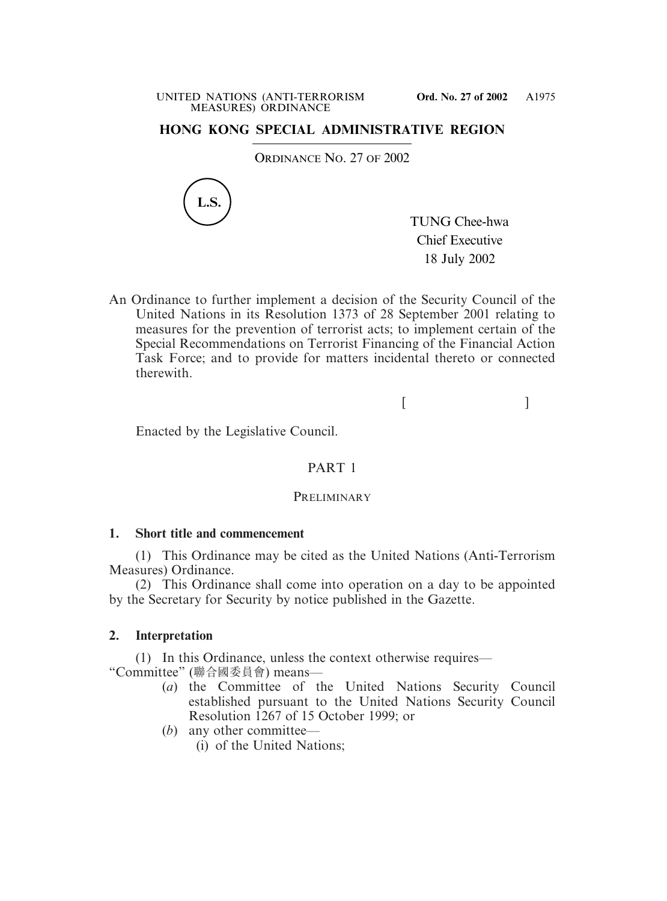# **HONG KONG SPECIAL ADMINISTRATIVE REGION**

ORDINANCE NO. 27 OF 2002



TUNG Chee-hwa Chief Executive 18 July 2002

An Ordinance to further implement a decision of the Security Council of the United Nations in its Resolution 1373 of 28 September 2001 relating to measures for the prevention of terrorist acts; to implement certain of the Special Recommendations on Terrorist Financing of the Financial Action Task Force; and to provide for matters incidental thereto or connected therewith.

 $[$   $]$ 

Enacted by the Legislative Council.

## PART 1

### **PRELIMINARY**

### **1. Short title and commencement**

(1) This Ordinance may be cited as the United Nations (Anti-Terrorism Measures) Ordinance.

(2) This Ordinance shall come into operation on a day to be appointed by the Secretary for Security by notice published in the Gazette.

## **2. Interpretation**

(1) In this Ordinance, unless the context otherwise requires— "Committee" (聯合國委員會) means—

- (*a*) the Committee of the United Nations Security Council established pursuant to the United Nations Security Council Resolution 1267 of 15 October 1999; or
- (*b*) any other committee—
	- (i) of the United Nations;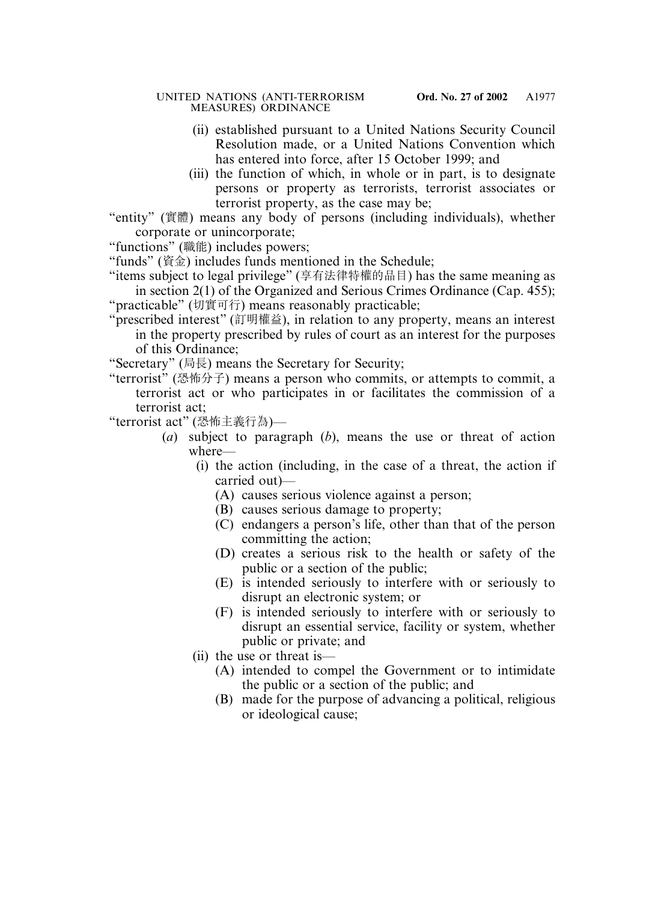- (ii) established pursuant to a United Nations Security Council Resolution made, or a United Nations Convention which has entered into force, after 15 October 1999; and
- (iii) the function of which, in whole or in part, is to designate persons or property as terrorists, terrorist associates or terrorist property, as the case may be;
- "entity" (實體) means any body of persons (including individuals), whether corporate or unincorporate;
- "functions" (職能) includes powers;
- "funds" (資金) includes funds mentioned in the Schedule;
- "items subject to legal privilege" (享有法律特權的品目) has the same meaning as in section 2(1) of the Organized and Serious Crimes Ordinance (Cap. 455); "practicable" (切實可行) means reasonably practicable;
- "prescribed interest" (訂明權益), in relation to any property, means an interest in the property prescribed by rules of court as an interest for the purposes of this Ordinance;
- "Secretary" (局長) means the Secretary for Security;
- "terrorist" (恐怖分子) means a person who commits, or attempts to commit, a terrorist act or who participates in or facilitates the commission of a terrorist act;

"terrorist act" (恐怖主義行為)—

- (*a*) subject to paragraph (*b*), means the use or threat of action where—
	- (i) the action (including, in the case of a threat, the action if carried out)—
		- (A) causes serious violence against a person;
		- (B) causes serious damage to property;
		- (C) endangers a person's life, other than that of the person committing the action;
		- (D) creates a serious risk to the health or safety of the public or a section of the public;
		- (E) is intended seriously to interfere with or seriously to disrupt an electronic system; or
		- (F) is intended seriously to interfere with or seriously to disrupt an essential service, facility or system, whether public or private; and
	- (ii) the use or threat is—
		- (A) intended to compel the Government or to intimidate the public or a section of the public; and
		- (B) made for the purpose of advancing a political, religious or ideological cause;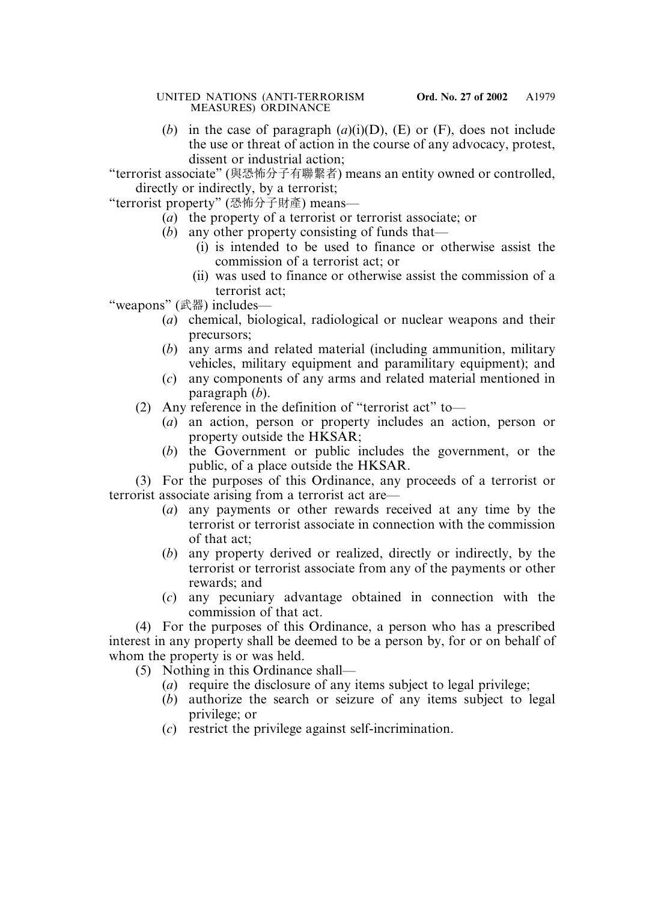(*b*) in the case of paragraph (*a*)(i)(D), (E) or (F), does not include the use or threat of action in the course of any advocacy, protest, dissent or industrial action;

"terrorist associate" (與恐怖分子有聯繫者) means an entity owned or controlled, directly or indirectly, by a terrorist;

"terrorist property" (恐怖分子財產) means—

- (*a*) the property of a terrorist or terrorist associate; or
- (*b*) any other property consisting of funds that—
	- (i) is intended to be used to finance or otherwise assist the commission of a terrorist act; or
	- (ii) was used to finance or otherwise assist the commission of a terrorist act;

"weapons" (武器) includes—

- (*a*) chemical, biological, radiological or nuclear weapons and their precursors;
- (*b*) any arms and related material (including ammunition, military vehicles, military equipment and paramilitary equipment); and
- (*c*) any components of any arms and related material mentioned in paragraph (*b*).
- (2) Any reference in the definition of "terrorist act" to—
	- (*a*) an action, person or property includes an action, person or property outside the HKSAR;
	- (*b*) the Government or public includes the government, or the public, of a place outside the HKSAR.

(3) For the purposes of this Ordinance, any proceeds of a terrorist or terrorist associate arising from a terrorist act are—

- (*a*) any payments or other rewards received at any time by the terrorist or terrorist associate in connection with the commission of that act;
- (*b*) any property derived or realized, directly or indirectly, by the terrorist or terrorist associate from any of the payments or other rewards; and
- (*c*) any pecuniary advantage obtained in connection with the commission of that act.

(4) For the purposes of this Ordinance, a person who has a prescribed interest in any property shall be deemed to be a person by, for or on behalf of whom the property is or was held.

(5) Nothing in this Ordinance shall—

- (*a*) require the disclosure of any items subject to legal privilege;
- (*b*) authorize the search or seizure of any items subject to legal privilege; or
- (*c*) restrict the privilege against self-incrimination.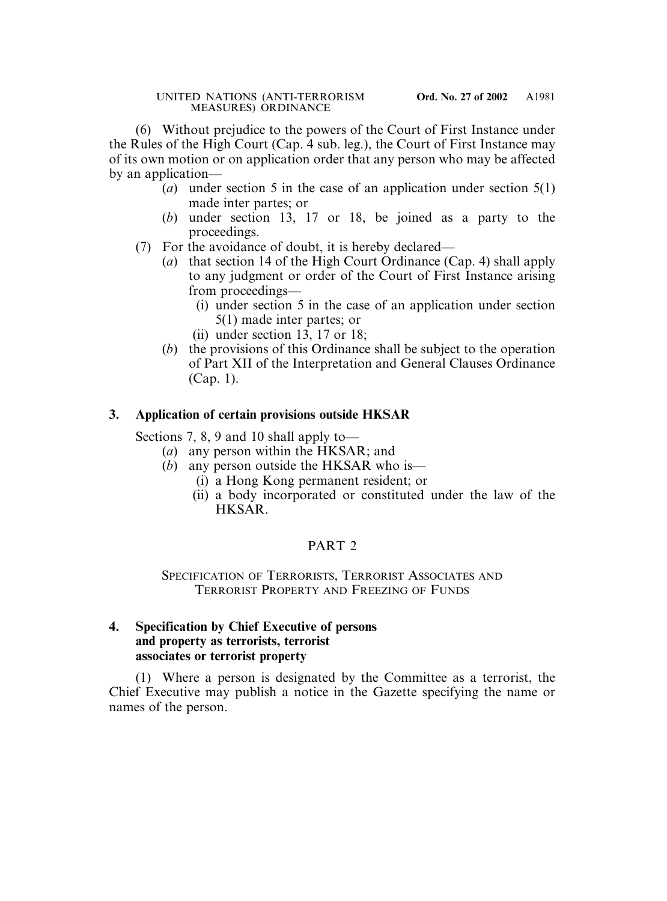(6) Without prejudice to the powers of the Court of First Instance under the Rules of the High Court (Cap. 4 sub. leg.), the Court of First Instance may of its own motion or on application order that any person who may be affected by an application—

- (*a*) under section 5 in the case of an application under section 5(1) made inter partes; or
- (*b*) under section 13, 17 or 18, be joined as a party to the proceedings.
- (7) For the avoidance of doubt, it is hereby declared—
	- (*a*) that section 14 of the High Court Ordinance (Cap. 4) shall apply to any judgment or order of the Court of First Instance arising from proceedings—
		- (i) under section 5 in the case of an application under section 5(1) made inter partes; or
		- (ii) under section 13, 17 or 18;
	- (*b*) the provisions of this Ordinance shall be subject to the operation of Part XII of the Interpretation and General Clauses Ordinance (Cap. 1).

# **3. Application of certain provisions outside HKSAR**

Sections 7, 8, 9 and 10 shall apply to—

- (*a*) any person within the HKSAR; and
- (*b*) any person outside the HKSAR who is—
	- (i) a Hong Kong permanent resident; or
	- (ii) a body incorporated or constituted under the law of the HKSAR.

# PART<sub>2</sub>

# SPECIFICATION OF TERRORISTS, TERRORIST ASSOCIATES AND TERRORIST PROPERTY AND FREEZING OF FUNDS

# **4. Specification by Chief Executive of persons and property as terrorists, terrorist associates or terrorist property**

(1) Where a person is designated by the Committee as a terrorist, the Chief Executive may publish a notice in the Gazette specifying the name or names of the person.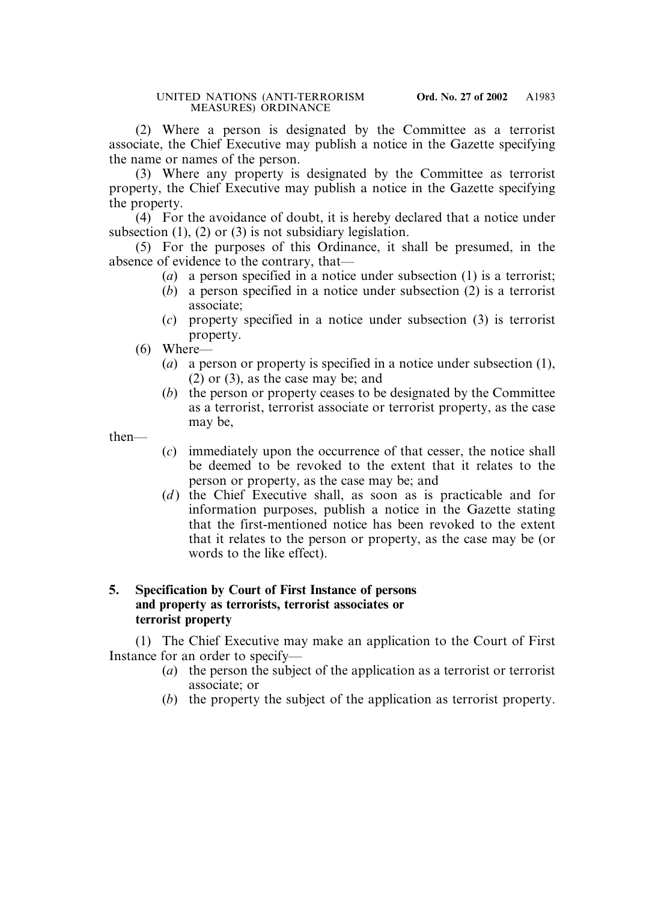(2) Where a person is designated by the Committee as a terrorist associate, the Chief Executive may publish a notice in the Gazette specifying the name or names of the person.

(3) Where any property is designated by the Committee as terrorist property, the Chief Executive may publish a notice in the Gazette specifying the property.

(4) For the avoidance of doubt, it is hereby declared that a notice under subsection (1), (2) or (3) is not subsidiary legislation.

(5) For the purposes of this Ordinance, it shall be presumed, in the absence of evidence to the contrary, that—

- (*a*) a person specified in a notice under subsection (1) is a terrorist;
- (*b*) a person specified in a notice under subsection (2) is a terrorist associate;
- (*c*) property specified in a notice under subsection (3) is terrorist property.
- (6) Where—
	- (*a*) a person or property is specified in a notice under subsection (1), (2) or (3), as the case may be; and
	- (*b*) the person or property ceases to be designated by the Committee as a terrorist, terrorist associate or terrorist property, as the case may be,

then—

- (*c*) immediately upon the occurrence of that cesser, the notice shall be deemed to be revoked to the extent that it relates to the person or property, as the case may be; and
- (*d*) the Chief Executive shall, as soon as is practicable and for information purposes, publish a notice in the Gazette stating that the first-mentioned notice has been revoked to the extent that it relates to the person or property, as the case may be (or words to the like effect).

# **5. Specification by Court of First Instance of persons and property as terrorists, terrorist associates or terrorist property**

(1) The Chief Executive may make an application to the Court of First Instance for an order to specify—

- (*a*) the person the subject of the application as a terrorist or terrorist associate; or
- (*b*) the property the subject of the application as terrorist property.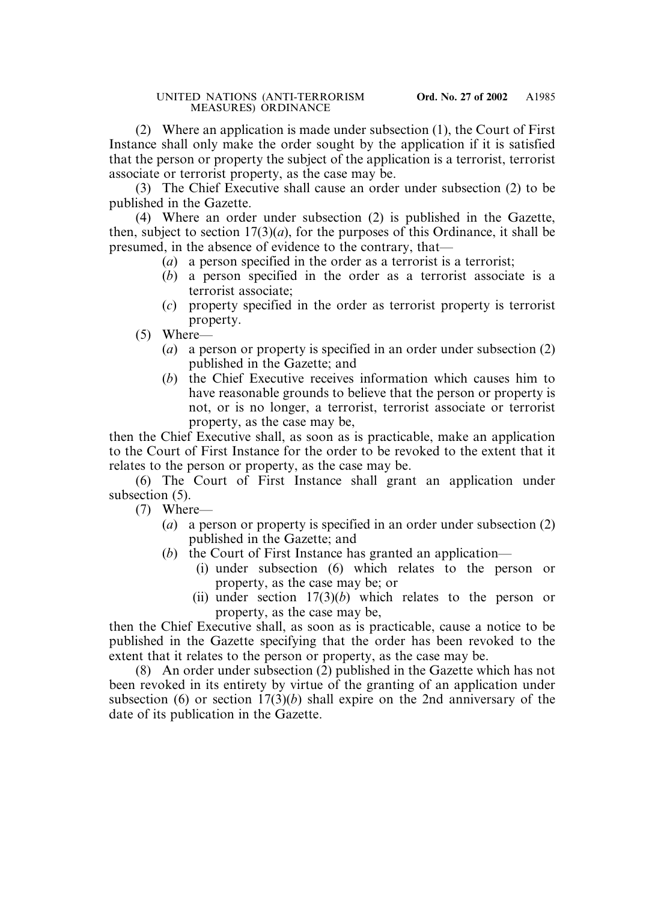(2) Where an application is made under subsection (1), the Court of First Instance shall only make the order sought by the application if it is satisfied that the person or property the subject of the application is a terrorist, terrorist associate or terrorist property, as the case may be.

(3) The Chief Executive shall cause an order under subsection (2) to be published in the Gazette.

(4) Where an order under subsection (2) is published in the Gazette, then, subject to section  $17(3)(a)$ , for the purposes of this Ordinance, it shall be presumed, in the absence of evidence to the contrary, that—

- (*a*) a person specified in the order as a terrorist is a terrorist;
- (*b*) a person specified in the order as a terrorist associate is a terrorist associate;
- (*c*) property specified in the order as terrorist property is terrorist property.
- (5) Where—
	- (*a*) a person or property is specified in an order under subsection (2) published in the Gazette; and
	- (*b*) the Chief Executive receives information which causes him to have reasonable grounds to believe that the person or property is not, or is no longer, a terrorist, terrorist associate or terrorist property, as the case may be,

then the Chief Executive shall, as soon as is practicable, make an application to the Court of First Instance for the order to be revoked to the extent that it relates to the person or property, as the case may be.

(6) The Court of First Instance shall grant an application under subsection  $(5)$ .

(7) Where—

- (*a*) a person or property is specified in an order under subsection (2) published in the Gazette; and
- (*b*) the Court of First Instance has granted an application—
	- (i) under subsection (6) which relates to the person or property, as the case may be; or
	- (ii) under section 17(3)(*b*) which relates to the person or property, as the case may be,

then the Chief Executive shall, as soon as is practicable, cause a notice to be published in the Gazette specifying that the order has been revoked to the extent that it relates to the person or property, as the case may be.

(8) An order under subsection (2) published in the Gazette which has not been revoked in its entirety by virtue of the granting of an application under subsection (6) or section 17(3)(*b*) shall expire on the 2nd anniversary of the date of its publication in the Gazette.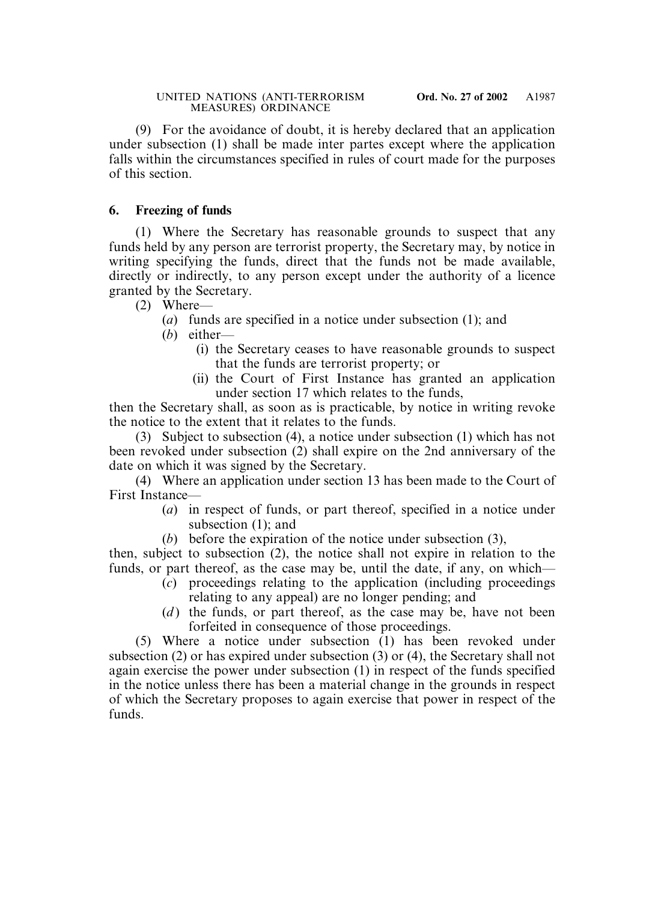(9) For the avoidance of doubt, it is hereby declared that an application under subsection (1) shall be made inter partes except where the application falls within the circumstances specified in rules of court made for the purposes of this section.

# **6. Freezing of funds**

(1) Where the Secretary has reasonable grounds to suspect that any funds held by any person are terrorist property, the Secretary may, by notice in writing specifying the funds, direct that the funds not be made available, directly or indirectly, to any person except under the authority of a licence granted by the Secretary.

(2) Where—

(*a*) funds are specified in a notice under subsection (1); and

(*b*) either—

- (i) the Secretary ceases to have reasonable grounds to suspect that the funds are terrorist property; or
- (ii) the Court of First Instance has granted an application under section 17 which relates to the funds,

then the Secretary shall, as soon as is practicable, by notice in writing revoke the notice to the extent that it relates to the funds.

(3) Subject to subsection (4), a notice under subsection (1) which has not been revoked under subsection (2) shall expire on the 2nd anniversary of the date on which it was signed by the Secretary.

(4) Where an application under section 13 has been made to the Court of First Instance—

- (*a*) in respect of funds, or part thereof, specified in a notice under subsection (1); and
- (*b*) before the expiration of the notice under subsection (3),

then, subject to subsection (2), the notice shall not expire in relation to the funds, or part thereof, as the case may be, until the date, if any, on which—

- (*c*) proceedings relating to the application (including proceedings relating to any appeal) are no longer pending; and
- (*d*) the funds, or part thereof, as the case may be, have not been forfeited in consequence of those proceedings.

(5) Where a notice under subsection (1) has been revoked under subsection (2) or has expired under subsection (3) or (4), the Secretary shall not again exercise the power under subsection (1) in respect of the funds specified in the notice unless there has been a material change in the grounds in respect of which the Secretary proposes to again exercise that power in respect of the funds.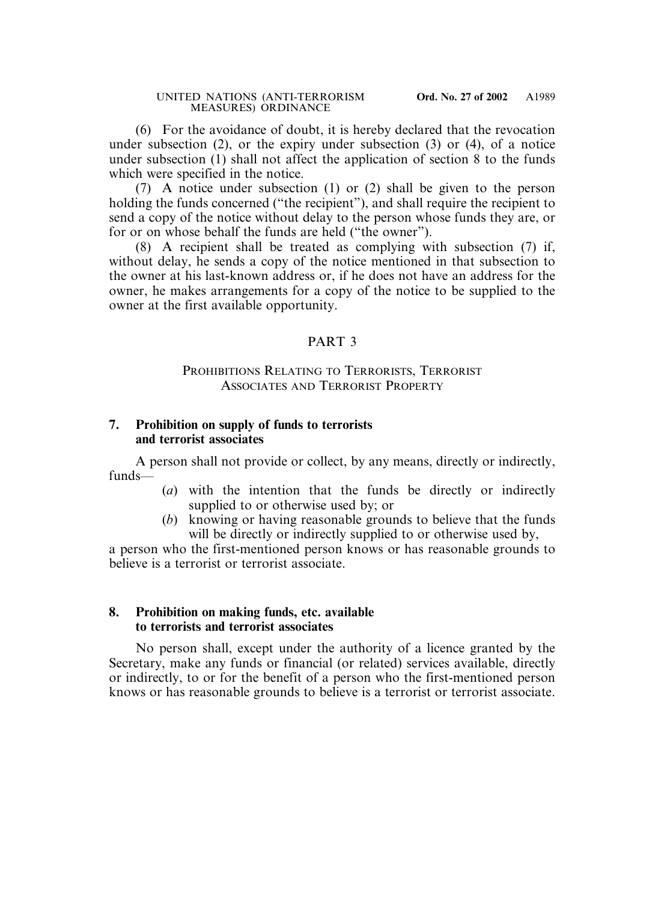(6) For the avoidance of doubt, it is hereby declared that the revocation under subsection (2), or the expiry under subsection (3) or (4), of a notice under subsection (1) shall not affect the application of section 8 to the funds which were specified in the notice.

(7) A notice under subsection (1) or (2) shall be given to the person holding the funds concerned ("the recipient"), and shall require the recipient to send a copy of the notice without delay to the person whose funds they are, or for or on whose behalf the funds are held ("the owner").

(8) A recipient shall be treated as complying with subsection (7) if, without delay, he sends a copy of the notice mentioned in that subsection to the owner at his last-known address or, if he does not have an address for the owner, he makes arrangements for a copy of the notice to be supplied to the owner at the first available opportunity.

### PART 3

## PROHIBITIONS RELATING TO TERRORISTS, TERRORIST ASSOCIATES AND TERRORIST PROPERTY

## **7. Prohibition on supply of funds to terrorists and terrorist associates**

A person shall not provide or collect, by any means, directly or indirectly, funds—

- (*a*) with the intention that the funds be directly or indirectly supplied to or otherwise used by; or
- (*b*) knowing or having reasonable grounds to believe that the funds will be directly or indirectly supplied to or otherwise used by,

a person who the first-mentioned person knows or has reasonable grounds to believe is a terrorist or terrorist associate.

### **8. Prohibition on making funds, etc. available to terrorists and terrorist associates**

No person shall, except under the authority of a licence granted by the Secretary, make any funds or financial (or related) services available, directly or indirectly, to or for the benefit of a person who the first-mentioned person knows or has reasonable grounds to believe is a terrorist or terrorist associate.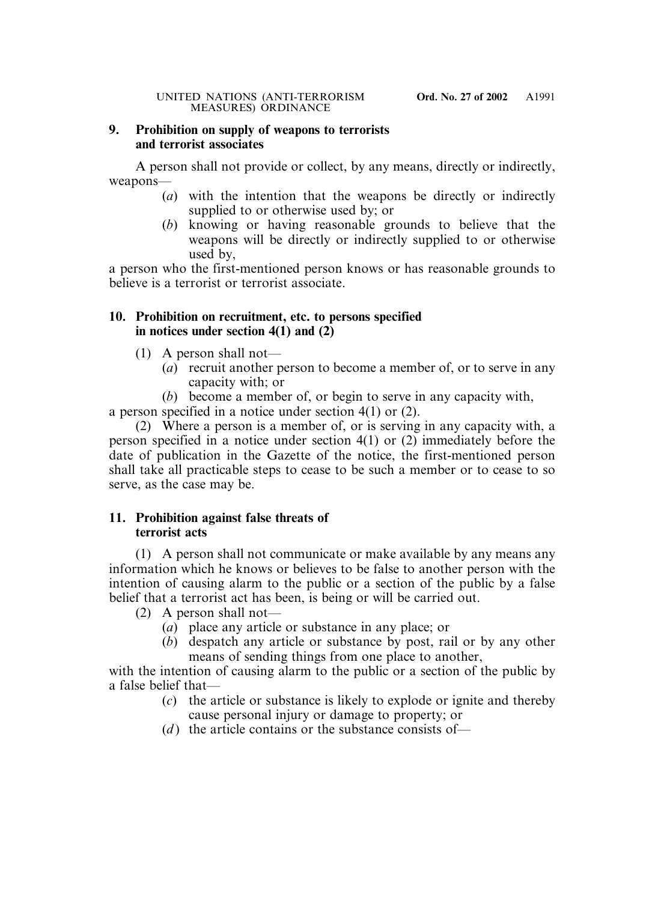## **9. Prohibition on supply of weapons to terrorists and terrorist associates**

A person shall not provide or collect, by any means, directly or indirectly, weapons—

- (*a*) with the intention that the weapons be directly or indirectly supplied to or otherwise used by; or
- (*b*) knowing or having reasonable grounds to believe that the weapons will be directly or indirectly supplied to or otherwise used by,

a person who the first-mentioned person knows or has reasonable grounds to believe is a terrorist or terrorist associate.

# **10. Prohibition on recruitment, etc. to persons specified in notices under section 4(1) and (2)**

- (1) A person shall not—
	- (*a*) recruit another person to become a member of, or to serve in any capacity with; or
	- (*b*) become a member of, or begin to serve in any capacity with,

a person specified in a notice under section 4(1) or (2).

(2) Where a person is a member of, or is serving in any capacity with, a person specified in a notice under section 4(1) or (2) immediately before the date of publication in the Gazette of the notice, the first-mentioned person shall take all practicable steps to cease to be such a member or to cease to so serve, as the case may be.

# **11. Prohibition against false threats of terrorist acts**

(1) A person shall not communicate or make available by any means any information which he knows or believes to be false to another person with the intention of causing alarm to the public or a section of the public by a false belief that a terrorist act has been, is being or will be carried out.

- (2) A person shall not—
	- (*a*) place any article or substance in any place; or
	- (*b*) despatch any article or substance by post, rail or by any other means of sending things from one place to another,

with the intention of causing alarm to the public or a section of the public by a false belief that—

- (*c*) the article or substance is likely to explode or ignite and thereby cause personal injury or damage to property; or
- (*d*) the article contains or the substance consists of—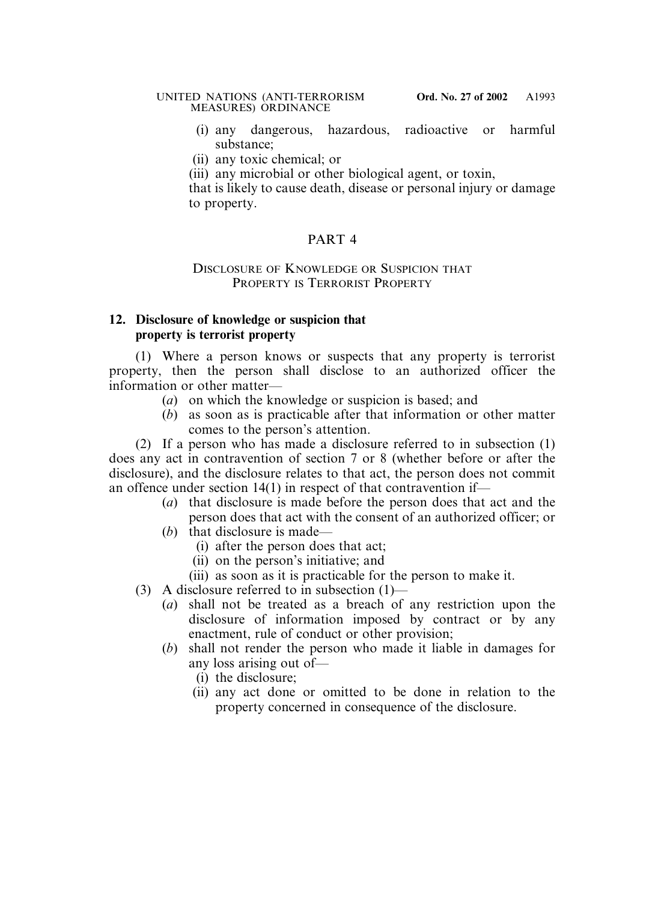- (i) any dangerous, hazardous, radioactive or harmful substance;
- (ii) any toxic chemical; or

(iii) any microbial or other biological agent, or toxin,

that is likely to cause death, disease or personal injury or damage to property.

# PART 4

# DISCLOSURE OF KNOWLEDGE OR SUSPICION THAT PROPERTY IS TERRORIST PROPERTY

# **12. Disclosure of knowledge or suspicion that property is terrorist property**

(1) Where a person knows or suspects that any property is terrorist property, then the person shall disclose to an authorized officer the information or other matter—

- (*a*) on which the knowledge or suspicion is based; and
- (*b*) as soon as is practicable after that information or other matter comes to the person's attention.

(2) If a person who has made a disclosure referred to in subsection (1) does any act in contravention of section 7 or 8 (whether before or after the disclosure), and the disclosure relates to that act, the person does not commit an offence under section 14(1) in respect of that contravention if—

- (*a*) that disclosure is made before the person does that act and the person does that act with the consent of an authorized officer; or
- (*b*) that disclosure is made—
	- (i) after the person does that act;
	- (ii) on the person's initiative; and
	- (iii) as soon as it is practicable for the person to make it.
- (3) A disclosure referred to in subsection (1)—
	- (*a*) shall not be treated as a breach of any restriction upon the disclosure of information imposed by contract or by any enactment, rule of conduct or other provision;
	- (*b*) shall not render the person who made it liable in damages for any loss arising out of—
		- (i) the disclosure;
		- (ii) any act done or omitted to be done in relation to the property concerned in consequence of the disclosure.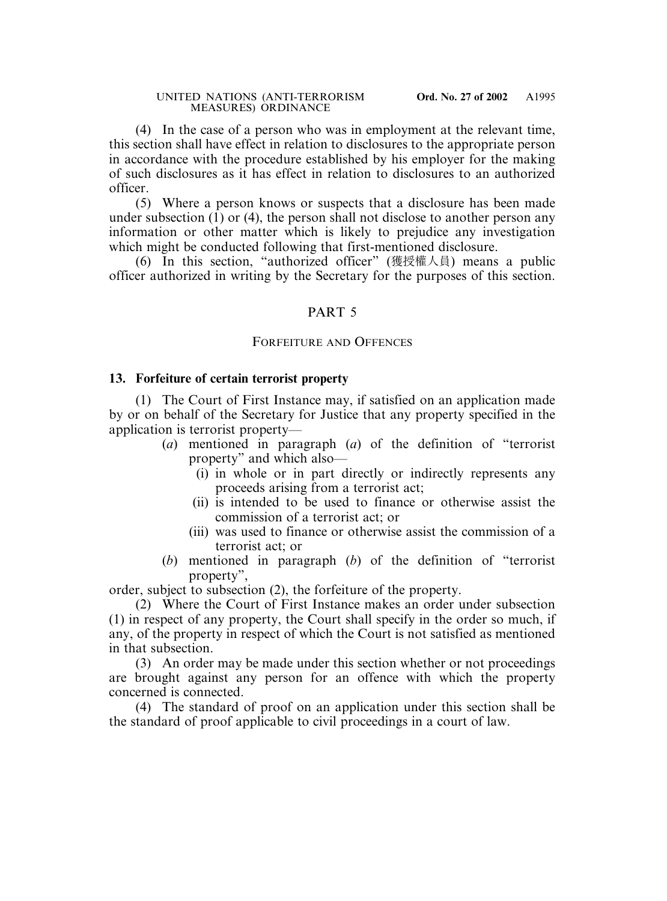(4) In the case of a person who was in employment at the relevant time, this section shall have effect in relation to disclosures to the appropriate person in accordance with the procedure established by his employer for the making of such disclosures as it has effect in relation to disclosures to an authorized officer.

(5) Where a person knows or suspects that a disclosure has been made under subsection (1) or (4), the person shall not disclose to another person any information or other matter which is likely to prejudice any investigation which might be conducted following that first-mentioned disclosure.

(6) In this section, "authorized officer" (獲授權人員) means a public officer authorized in writing by the Secretary for the purposes of this section.

# PART 5

### FORFEITURE AND OFFENCES

### **13. Forfeiture of certain terrorist property**

(1) The Court of First Instance may, if satisfied on an application made by or on behalf of the Secretary for Justice that any property specified in the application is terrorist property—

- (*a*) mentioned in paragraph (*a*) of the definition of "terrorist property" and which also—
	- (i) in whole or in part directly or indirectly represents any proceeds arising from a terrorist act;
	- (ii) is intended to be used to finance or otherwise assist the commission of a terrorist act; or
	- (iii) was used to finance or otherwise assist the commission of a terrorist act; or
- (*b*) mentioned in paragraph (*b*) of the definition of "terrorist property",

order, subject to subsection (2), the forfeiture of the property.

(2) Where the Court of First Instance makes an order under subsection (1) in respect of any property, the Court shall specify in the order so much, if any, of the property in respect of which the Court is not satisfied as mentioned in that subsection.

(3) An order may be made under this section whether or not proceedings are brought against any person for an offence with which the property concerned is connected.

(4) The standard of proof on an application under this section shall be the standard of proof applicable to civil proceedings in a court of law.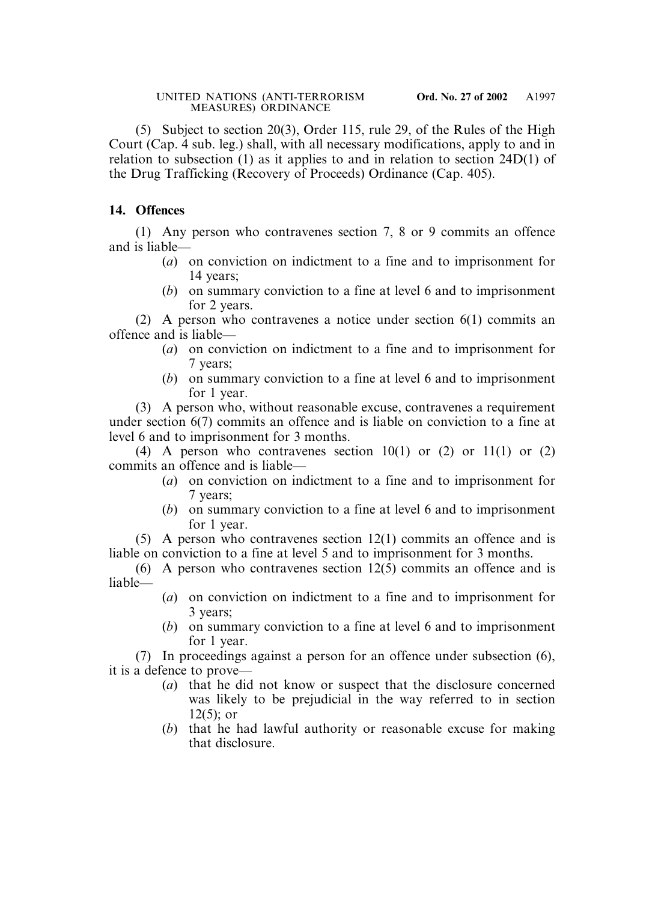(5) Subject to section 20(3), Order 115, rule 29, of the Rules of the High Court (Cap. 4 sub. leg.) shall, with all necessary modifications, apply to and in relation to subsection (1) as it applies to and in relation to section 24D(1) of the Drug Trafficking (Recovery of Proceeds) Ordinance (Cap. 405).

# **14. Offences**

(1) Any person who contravenes section 7, 8 or 9 commits an offence and is liable—

- (*a*) on conviction on indictment to a fine and to imprisonment for 14 years;
- (*b*) on summary conviction to a fine at level 6 and to imprisonment for 2 years.

(2) A person who contravenes a notice under section 6(1) commits an offence and is liable—

- (*a*) on conviction on indictment to a fine and to imprisonment for 7 years;
- (*b*) on summary conviction to a fine at level 6 and to imprisonment for 1 year.

(3) A person who, without reasonable excuse, contravenes a requirement under section 6(7) commits an offence and is liable on conviction to a fine at level 6 and to imprisonment for 3 months.

(4) A person who contravenes section  $10(1)$  or (2) or  $11(1)$  or (2) commits an offence and is liable—

- (*a*) on conviction on indictment to a fine and to imprisonment for 7 years;
- (*b*) on summary conviction to a fine at level 6 and to imprisonment for 1 year.

(5) A person who contravenes section 12(1) commits an offence and is liable on conviction to a fine at level 5 and to imprisonment for 3 months.

- (6) A person who contravenes section  $12(5)$  commits an offence and is liable—
	- (*a*) on conviction on indictment to a fine and to imprisonment for 3 years;
	- (*b*) on summary conviction to a fine at level 6 and to imprisonment for 1 year.

(7) In proceedings against a person for an offence under subsection (6), it is a defence to prove—

- (*a*) that he did not know or suspect that the disclosure concerned was likely to be prejudicial in the way referred to in section 12(5); or
- (*b*) that he had lawful authority or reasonable excuse for making that disclosure.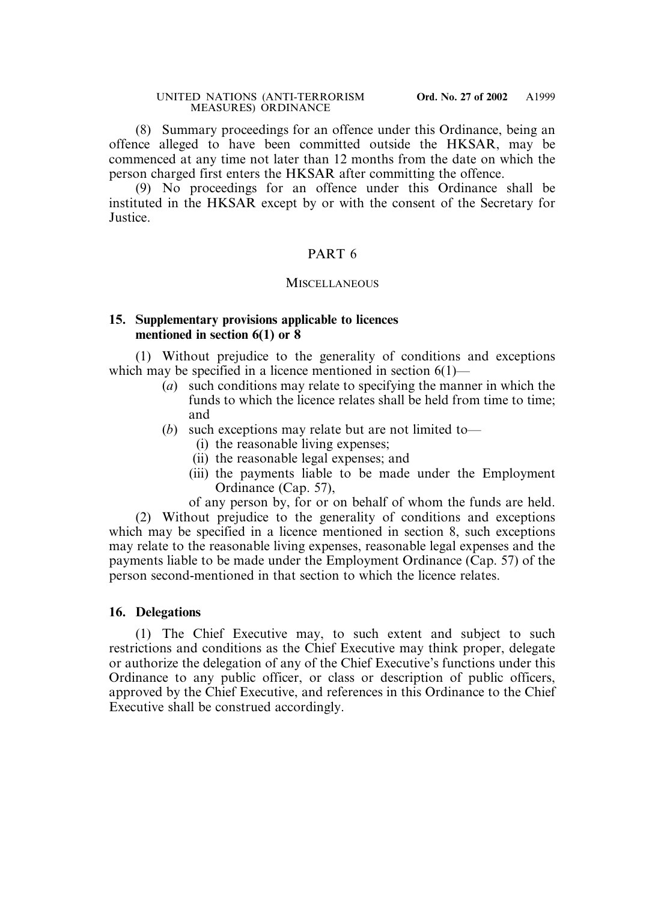(8) Summary proceedings for an offence under this Ordinance, being an offence alleged to have been committed outside the HKSAR, may be commenced at any time not later than 12 months from the date on which the person charged first enters the HKSAR after committing the offence.

(9) No proceedings for an offence under this Ordinance shall be instituted in the HKSAR except by or with the consent of the Secretary for Justice.

# PART 6

## **MISCELLANEOUS**

### **15. Supplementary provisions applicable to licences mentioned in section 6(1) or 8**

(1) Without prejudice to the generality of conditions and exceptions which may be specified in a licence mentioned in section 6(1)—

- (*a*) such conditions may relate to specifying the manner in which the funds to which the licence relates shall be held from time to time; and
- (*b*) such exceptions may relate but are not limited to—
	- (i) the reasonable living expenses;
	- (ii) the reasonable legal expenses; and
	- (iii) the payments liable to be made under the Employment Ordinance (Cap. 57),

of any person by, for or on behalf of whom the funds are held.

(2) Without prejudice to the generality of conditions and exceptions which may be specified in a licence mentioned in section 8, such exceptions may relate to the reasonable living expenses, reasonable legal expenses and the payments liable to be made under the Employment Ordinance (Cap. 57) of the person second-mentioned in that section to which the licence relates.

## **16. Delegations**

(1) The Chief Executive may, to such extent and subject to such restrictions and conditions as the Chief Executive may think proper, delegate or authorize the delegation of any of the Chief Executive's functions under this Ordinance to any public officer, or class or description of public officers, approved by the Chief Executive, and references in this Ordinance to the Chief Executive shall be construed accordingly.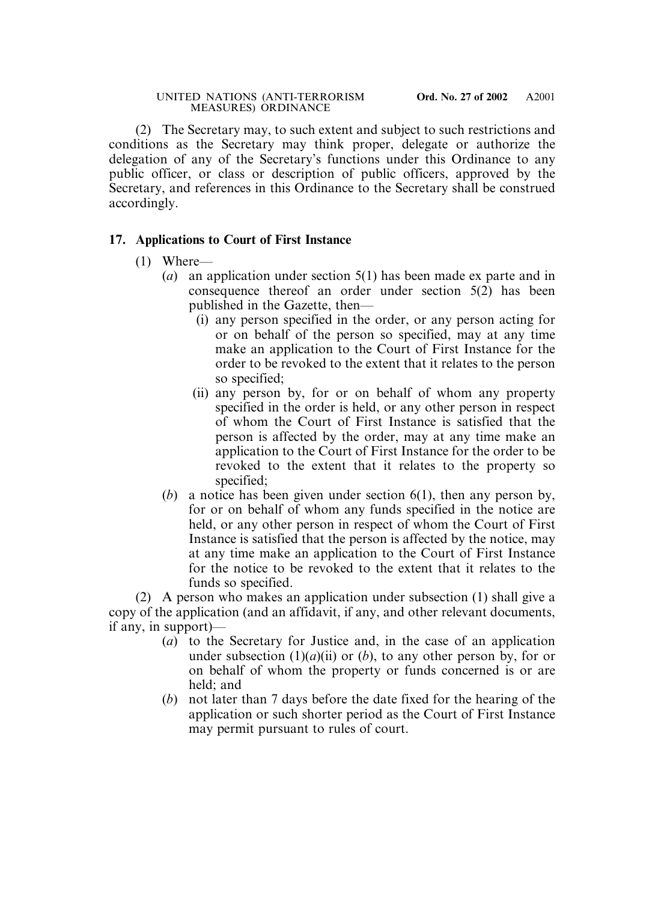(2) The Secretary may, to such extent and subject to such restrictions and conditions as the Secretary may think proper, delegate or authorize the delegation of any of the Secretary's functions under this Ordinance to any public officer, or class or description of public officers, approved by the Secretary, and references in this Ordinance to the Secretary shall be construed accordingly.

# **17. Applications to Court of First Instance**

- (1) Where—
	- (*a*) an application under section 5(1) has been made ex parte and in consequence thereof an order under section 5(2) has been published in the Gazette, then—
		- (i) any person specified in the order, or any person acting for or on behalf of the person so specified, may at any time make an application to the Court of First Instance for the order to be revoked to the extent that it relates to the person so specified;
		- (ii) any person by, for or on behalf of whom any property specified in the order is held, or any other person in respect of whom the Court of First Instance is satisfied that the person is affected by the order, may at any time make an application to the Court of First Instance for the order to be revoked to the extent that it relates to the property so specified;
	- (*b*) a notice has been given under section 6(1), then any person by, for or on behalf of whom any funds specified in the notice are held, or any other person in respect of whom the Court of First Instance is satisfied that the person is affected by the notice, may at any time make an application to the Court of First Instance for the notice to be revoked to the extent that it relates to the funds so specified.

(2) A person who makes an application under subsection (1) shall give a copy of the application (and an affidavit, if any, and other relevant documents, if any, in support)—

- (*a*) to the Secretary for Justice and, in the case of an application under subsection  $(1)(a)(ii)$  or  $(b)$ , to any other person by, for or on behalf of whom the property or funds concerned is or are held; and
- (*b*) not later than 7 days before the date fixed for the hearing of the application or such shorter period as the Court of First Instance may permit pursuant to rules of court.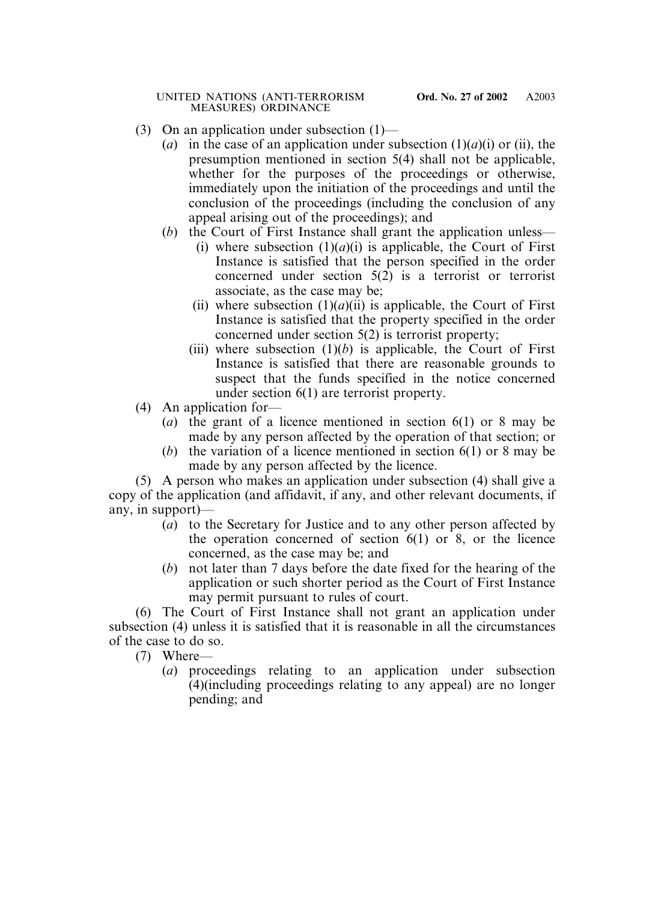- (3) On an application under subsection (1)—
	- (*a*) in the case of an application under subsection  $(1)(a)(i)$  or (ii), the presumption mentioned in section 5(4) shall not be applicable, whether for the purposes of the proceedings or otherwise, immediately upon the initiation of the proceedings and until the conclusion of the proceedings (including the conclusion of any appeal arising out of the proceedings); and
	- (*b*) the Court of First Instance shall grant the application unless—
		- (i) where subsection  $(1)(a)(i)$  is applicable, the Court of First Instance is satisfied that the person specified in the order concerned under section 5(2) is a terrorist or terrorist associate, as the case may be;
		- (ii) where subsection  $(1)(a)(ii)$  is applicable, the Court of First Instance is satisfied that the property specified in the order concerned under section 5(2) is terrorist property;
		- (iii) where subsection  $(1)(b)$  is applicable, the Court of First Instance is satisfied that there are reasonable grounds to suspect that the funds specified in the notice concerned under section 6(1) are terrorist property.
- (4) An application for—
	- (*a*) the grant of a licence mentioned in section 6(1) or 8 may be made by any person affected by the operation of that section; or
	- (*b*) the variation of a licence mentioned in section 6(1) or 8 may be made by any person affected by the licence.

(5) A person who makes an application under subsection (4) shall give a copy of the application (and affidavit, if any, and other relevant documents, if any, in support)—

- (*a*) to the Secretary for Justice and to any other person affected by the operation concerned of section 6(1) or 8, or the licence concerned, as the case may be; and
- (*b*) not later than 7 days before the date fixed for the hearing of the application or such shorter period as the Court of First Instance may permit pursuant to rules of court.

(6) The Court of First Instance shall not grant an application under subsection (4) unless it is satisfied that it is reasonable in all the circumstances of the case to do so.

(7) Where—

(*a*) proceedings relating to an application under subsection (4)(including proceedings relating to any appeal) are no longer pending; and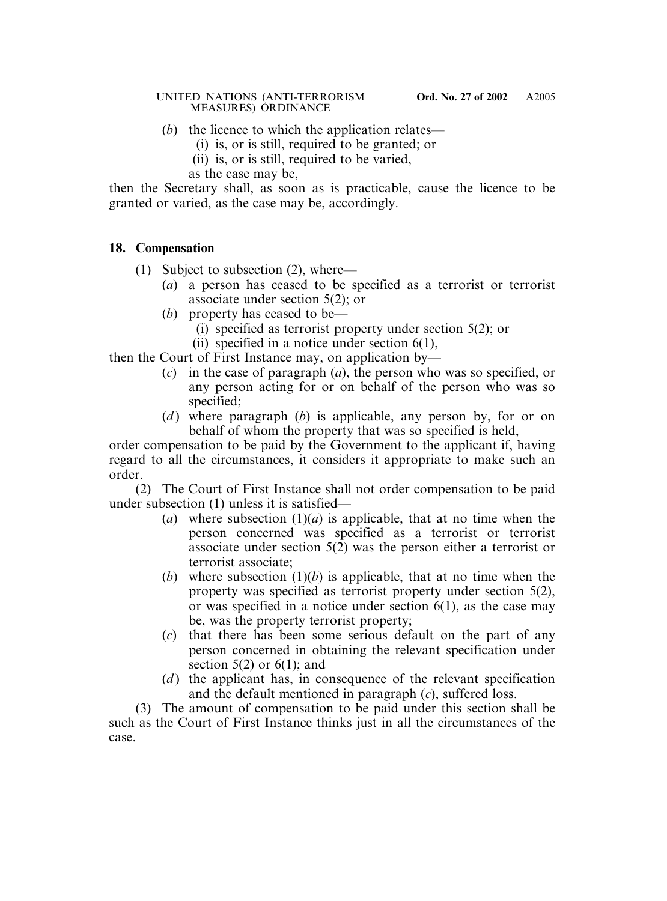- (*b*) the licence to which the application relates—
	- (i) is, or is still, required to be granted; or
	- (ii) is, or is still, required to be varied,

as the case may be,

then the Secretary shall, as soon as is practicable, cause the licence to be granted or varied, as the case may be, accordingly.

# **18. Compensation**

- (1) Subject to subsection (2), where—
	- (*a*) a person has ceased to be specified as a terrorist or terrorist associate under section 5(2); or
	- (*b*) property has ceased to be—
		- (i) specified as terrorist property under section 5(2); or
		- (ii) specified in a notice under section 6(1),

then the Court of First Instance may, on application by—

- (*c*) in the case of paragraph (*a*), the person who was so specified, or any person acting for or on behalf of the person who was so specified;
- (*d*) where paragraph (*b*) is applicable, any person by, for or on behalf of whom the property that was so specified is held,

order compensation to be paid by the Government to the applicant if, having regard to all the circumstances, it considers it appropriate to make such an order.

(2) The Court of First Instance shall not order compensation to be paid under subsection (1) unless it is satisfied—

- (*a*) where subsection  $(1)(a)$  is applicable, that at no time when the person concerned was specified as a terrorist or terrorist associate under section 5(2) was the person either a terrorist or terrorist associate;
- (*b*) where subsection  $(1)(b)$  is applicable, that at no time when the property was specified as terrorist property under section 5(2), or was specified in a notice under section 6(1), as the case may be, was the property terrorist property;
- (*c*) that there has been some serious default on the part of any person concerned in obtaining the relevant specification under section  $5(2)$  or  $6(1)$ ; and
- (*d*) the applicant has, in consequence of the relevant specification and the default mentioned in paragraph (*c*), suffered loss.

(3) The amount of compensation to be paid under this section shall be such as the Court of First Instance thinks just in all the circumstances of the case.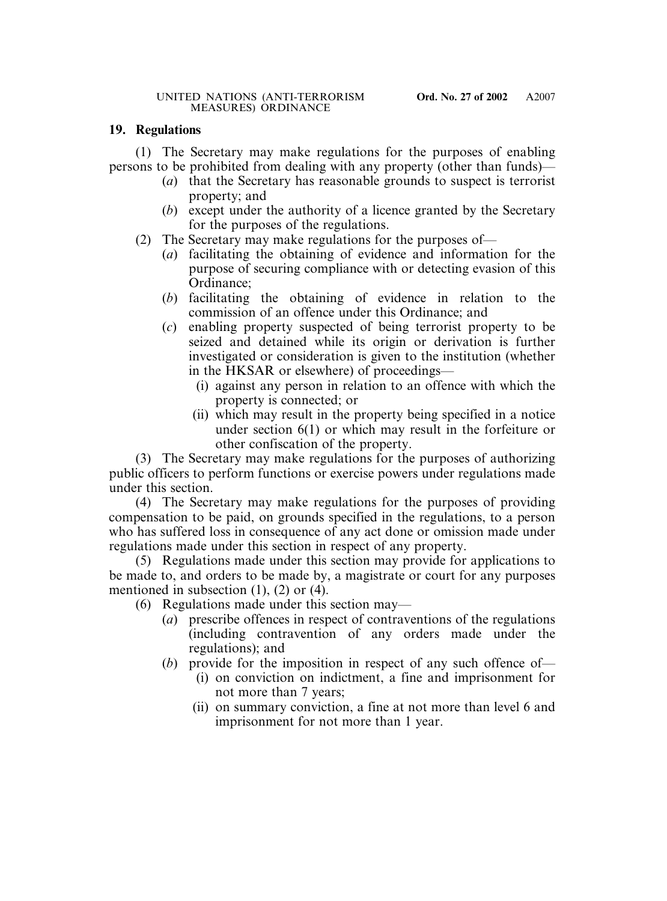## **19. Regulations**

(1) The Secretary may make regulations for the purposes of enabling persons to be prohibited from dealing with any property (other than funds)—

- (*a*) that the Secretary has reasonable grounds to suspect is terrorist property; and
- (*b*) except under the authority of a licence granted by the Secretary for the purposes of the regulations.
- (2) The Secretary may make regulations for the purposes of—
	- (*a*) facilitating the obtaining of evidence and information for the purpose of securing compliance with or detecting evasion of this Ordinance;
	- (*b*) facilitating the obtaining of evidence in relation to the commission of an offence under this Ordinance; and
	- (*c*) enabling property suspected of being terrorist property to be seized and detained while its origin or derivation is further investigated or consideration is given to the institution (whether in the HKSAR or elsewhere) of proceedings—
		- (i) against any person in relation to an offence with which the property is connected; or
		- (ii) which may result in the property being specified in a notice under section 6(1) or which may result in the forfeiture or other confiscation of the property.

(3) The Secretary may make regulations for the purposes of authorizing public officers to perform functions or exercise powers under regulations made under this section.

(4) The Secretary may make regulations for the purposes of providing compensation to be paid, on grounds specified in the regulations, to a person who has suffered loss in consequence of any act done or omission made under regulations made under this section in respect of any property.

(5) Regulations made under this section may provide for applications to be made to, and orders to be made by, a magistrate or court for any purposes mentioned in subsection (1), (2) or (4).

(6) Regulations made under this section may—

- (*a*) prescribe offences in respect of contraventions of the regulations (including contravention of any orders made under the regulations); and
- (*b*) provide for the imposition in respect of any such offence of—
	- (i) on conviction on indictment, a fine and imprisonment for not more than 7 years;
	- (ii) on summary conviction, a fine at not more than level 6 and imprisonment for not more than 1 year.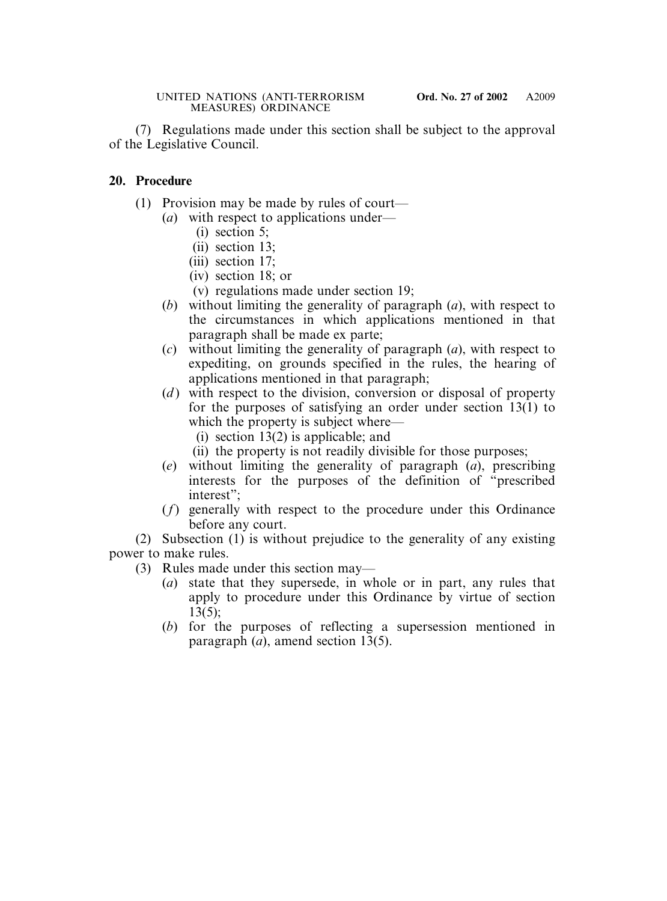(7) Regulations made under this section shall be subject to the approval of the Legislative Council.

## **20. Procedure**

- (1) Provision may be made by rules of court—
	- (*a*) with respect to applications under—
		- (i) section 5;
		- (ii) section 13;
		- (iii) section 17;
		- (iv) section 18; or
		- (v) regulations made under section 19;
	- (*b*) without limiting the generality of paragraph (*a*), with respect to the circumstances in which applications mentioned in that paragraph shall be made ex parte;
	- (*c*) without limiting the generality of paragraph (*a*), with respect to expediting, on grounds specified in the rules, the hearing of applications mentioned in that paragraph;
	- (*d*) with respect to the division, conversion or disposal of property for the purposes of satisfying an order under section 13(1) to which the property is subject where—
		- (i) section 13(2) is applicable; and
		- (ii) the property is not readily divisible for those purposes;
	- (*e*) without limiting the generality of paragraph (*a*), prescribing interests for the purposes of the definition of "prescribed interest":
	- (*f*) generally with respect to the procedure under this Ordinance before any court.

(2) Subsection (1) is without prejudice to the generality of any existing power to make rules.

- (3) Rules made under this section may—
	- (*a*) state that they supersede, in whole or in part, any rules that apply to procedure under this Ordinance by virtue of section 13(5);
	- (*b*) for the purposes of reflecting a supersession mentioned in paragraph (*a*), amend section 13(5).